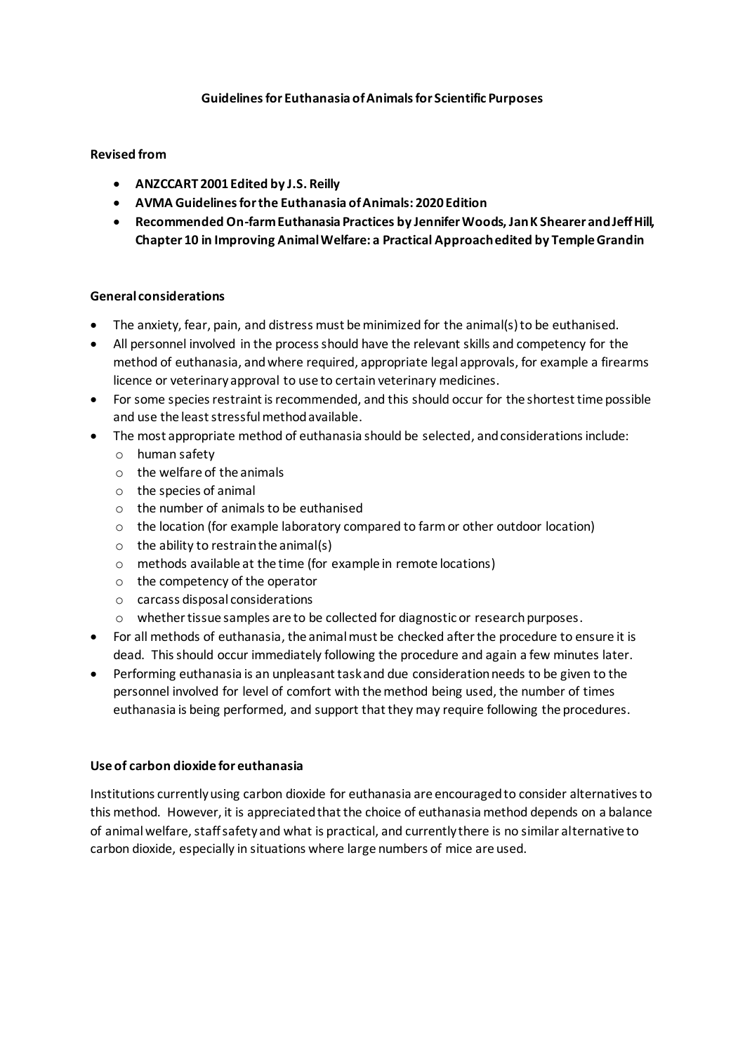### **Guidelines for Euthanasia of Animals for Scientific Purposes**

### **Revised from**

- **ANZCCART 2001 Edited by J.S. Reilly**
- **AVMA Guidelines for the Euthanasia of Animals: 2020 Edition**
- **Recommended On-farm Euthanasia Practices by Jennifer Woods, Jan K Shearer and Jeff Hill, Chapter 10 in Improving Animal Welfare: a Practical Approach edited by Temple Grandin**

### **General considerations**

- The anxiety, fear, pain, and distress must be minimized for the animal(s) to be euthanised.
- All personnel involved in the process should have the relevant skills and competency for the method of euthanasia, and where required, appropriate legal approvals, for example a firearms licence or veterinary approval to use to certain veterinary medicines.
- For some species restraint is recommended, and this should occur for the shortest time possible and use the least stressful method available.
- The most appropriate method of euthanasia should be selected, and considerations include:
	- o human safety
	- o the welfare of the animals
	- o the species of animal
	- o the number of animals to be euthanised
	- $\circ$  the location (for example laboratory compared to farm or other outdoor location)
	- $\circ$  the ability to restrain the animal(s)
	- o methods available at the time (for example in remote locations)
	- o the competency of the operator
	- o carcass disposal considerations
	- o whether tissue samples are to be collected for diagnostic or research purposes.
- For all methods of euthanasia, the animal must be checked after the procedure to ensure it is dead. This should occur immediately following the procedure and again a few minutes later.
- Performing euthanasia is an unpleasant task and due consideration needs to be given to the personnel involved for level of comfort with the method being used, the number of times euthanasia is being performed, and support that they may require following the procedures.

#### **Use of carbon dioxide for euthanasia**

Institutions currently using carbon dioxide for euthanasia are encouraged to consider alternatives to this method. However, it is appreciated that the choice of euthanasia method depends on a balance of animal welfare, staff safety and what is practical, and currently there is no similar alternative to carbon dioxide, especially in situations where large numbers of mice are used.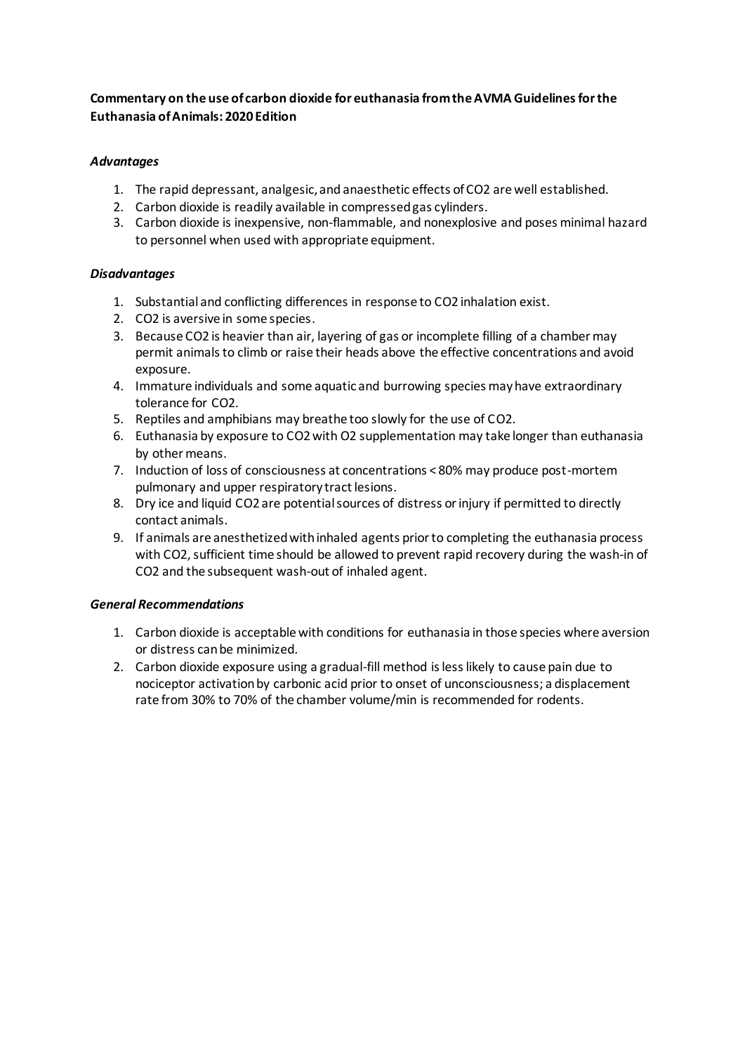# **Commentary on the use of carbon dioxide for euthanasia from the AVMA Guidelines for the Euthanasia of Animals: 2020 Edition**

## *Advantages*

- 1. The rapid depressant, analgesic, and anaesthetic effects of CO2 are well established.
- 2. Carbon dioxide is readily available in compressed gas cylinders.
- 3. Carbon dioxide is inexpensive, non-flammable, and nonexplosive and poses minimal hazard to personnel when used with appropriate equipment.

# *Disadvantages*

- 1. Substantial and conflicting differences in response to CO2 inhalation exist.
- 2. CO2 is aversive in some species.
- 3. Because CO2 is heavier than air, layering of gas or incomplete filling of a chamber may permit animals to climb or raise their heads above the effective concentrations and avoid exposure.
- 4. Immature individuals and some aquatic and burrowing species may have extraordinary tolerance for CO2.
- 5. Reptiles and amphibians may breathe too slowly for the use of CO2.
- 6. Euthanasia by exposure to CO2 with O2 supplementation may take longer than euthanasia by other means.
- 7. Induction of loss of consciousness at concentrations < 80% may produce post-mortem pulmonary and upper respiratory tract lesions.
- 8. Dry ice and liquid CO2 are potential sources of distress or injury if permitted to directly contact animals.
- 9. If animals are anesthetized with inhaled agents prior to completing the euthanasia process with CO2, sufficient time should be allowed to prevent rapid recovery during the wash-in of CO2 and the subsequent wash-out of inhaled agent.

### *General Recommendations*

- 1. Carbon dioxide is acceptable with conditions for euthanasia in those species where aversion or distress can be minimized.
- 2. Carbon dioxide exposure using a gradual-fill method is less likely to cause pain due to nociceptor activation by carbonic acid prior to onset of unconsciousness; a displacement rate from 30% to 70% of the chamber volume/min is recommended for rodents.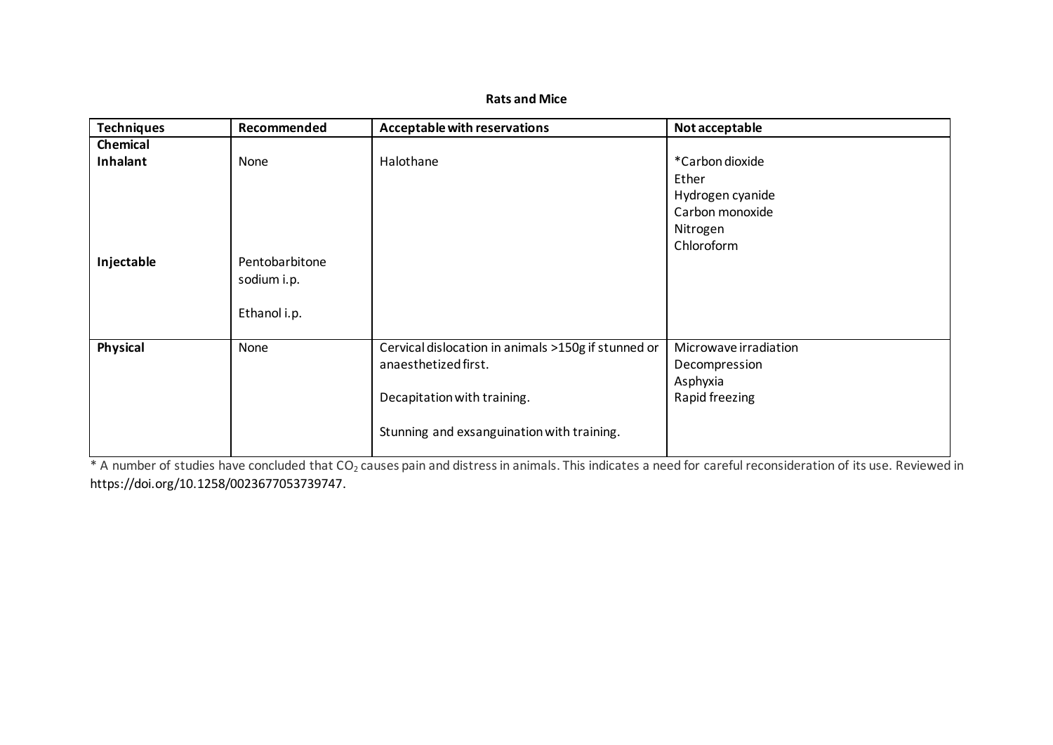## **Rats and Mice**

| <b>Techniques</b> | Recommended    | <b>Acceptable with reservations</b>                 | Not acceptable        |
|-------------------|----------------|-----------------------------------------------------|-----------------------|
| Chemical          |                |                                                     |                       |
| Inhalant          | None           | Halothane                                           | *Carbon dioxide       |
|                   |                |                                                     | Ether                 |
|                   |                |                                                     | Hydrogen cyanide      |
|                   |                |                                                     | Carbon monoxide       |
|                   |                |                                                     | Nitrogen              |
|                   |                |                                                     | Chloroform            |
| Injectable        | Pentobarbitone |                                                     |                       |
|                   | sodium i.p.    |                                                     |                       |
|                   |                |                                                     |                       |
|                   | Ethanol i.p.   |                                                     |                       |
|                   |                |                                                     |                       |
| Physical          | None           | Cervical dislocation in animals >150g if stunned or | Microwave irradiation |
|                   |                | anaesthetized first.                                | Decompression         |
|                   |                |                                                     | Asphyxia              |
|                   |                | Decapitation with training.                         | Rapid freezing        |
|                   |                |                                                     |                       |
|                   |                | Stunning and exsanguination with training.          |                       |
|                   |                |                                                     |                       |

\* A number of studies have concluded that CO<sub>2</sub> causes pain and distress in animals. This indicates a need for careful reconsideration of its use. Reviewed in [https://doi.org/10.1258/0023677053739747.](https://doi.org/10.1258%2F0023677053739747)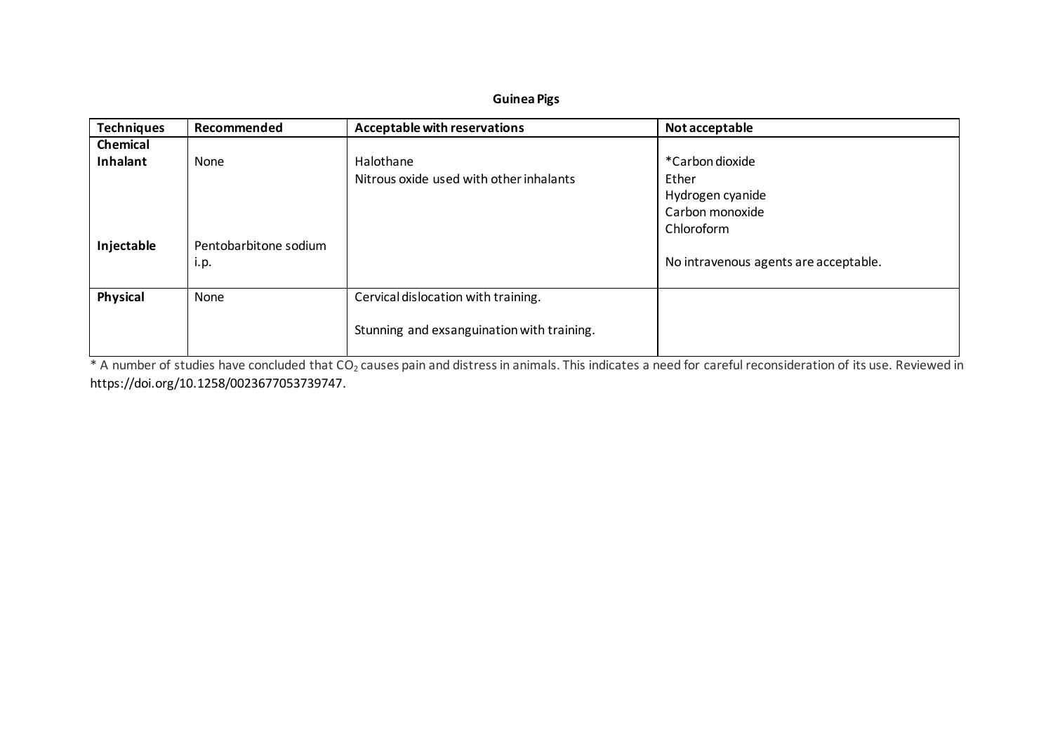# **Guinea Pigs**

| <b>Techniques</b> | Recommended                   | Acceptable with reservations                                                      | Not acceptable                                                                |
|-------------------|-------------------------------|-----------------------------------------------------------------------------------|-------------------------------------------------------------------------------|
| Chemical          |                               |                                                                                   |                                                                               |
| Inhalant          | None                          | Halothane<br>Nitrous oxide used with other inhalants                              | *Carbon dioxide<br>Ether<br>Hydrogen cyanide<br>Carbon monoxide<br>Chloroform |
| Injectable        | Pentobarbitone sodium<br>i.p. |                                                                                   | No intravenous agents are acceptable.                                         |
| Physical          | None                          | Cervical dislocation with training.<br>Stunning and exsanguination with training. |                                                                               |

\* A number of studies have concluded that CO<sub>2</sub> causes pain and distress in animals. This indicates a need for careful reconsideration of its use. Reviewed in [https://doi.org/10.1258/0023677053739747.](https://doi.org/10.1258%2F0023677053739747)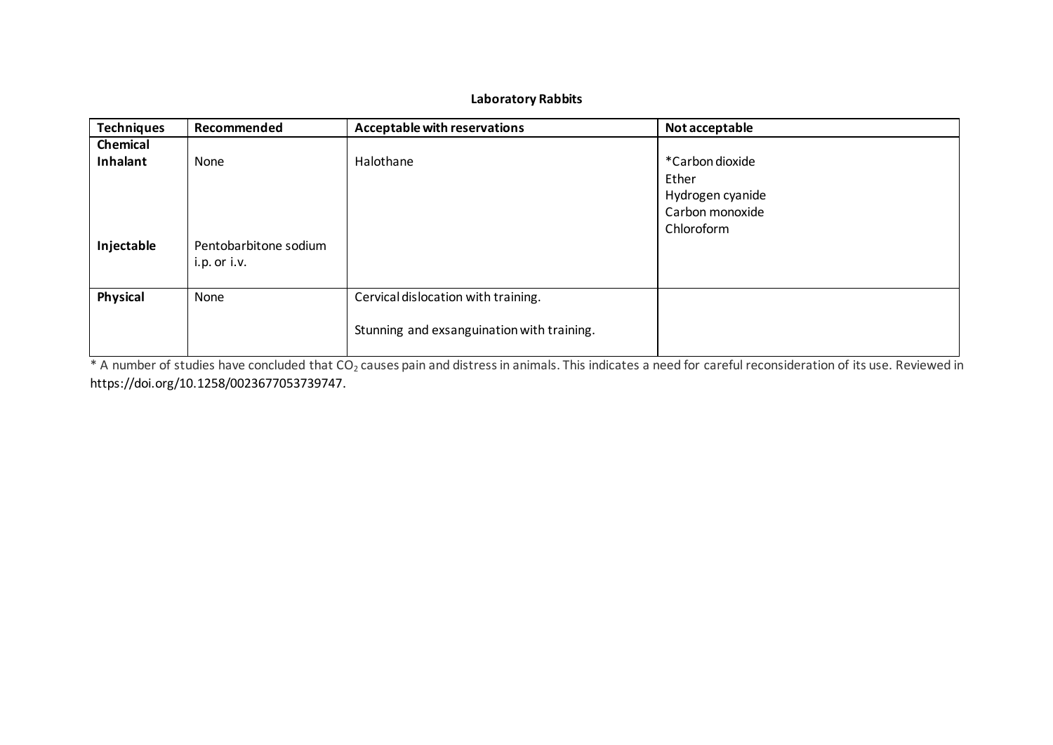# **Laboratory Rabbits**

| <b>Techniques</b> | Recommended                               | Acceptable with reservations                                                      | Not acceptable                                                                |
|-------------------|-------------------------------------------|-----------------------------------------------------------------------------------|-------------------------------------------------------------------------------|
| Chemical          |                                           |                                                                                   |                                                                               |
| Inhalant          | None                                      | Halothane                                                                         | *Carbon dioxide<br>Ether<br>Hydrogen cyanide<br>Carbon monoxide<br>Chloroform |
| Injectable        | Pentobarbitone sodium<br>$i.p.$ or $i.v.$ |                                                                                   |                                                                               |
| Physical          | None                                      | Cervical dislocation with training.<br>Stunning and exsanguination with training. |                                                                               |

\* A number of studies have concluded that CO<sub>2</sub> causes pain and distress in animals. This indicates a need for careful reconsideration of its use. Reviewed in [https://doi.org/10.1258/0023677053739747.](https://doi.org/10.1258%2F0023677053739747)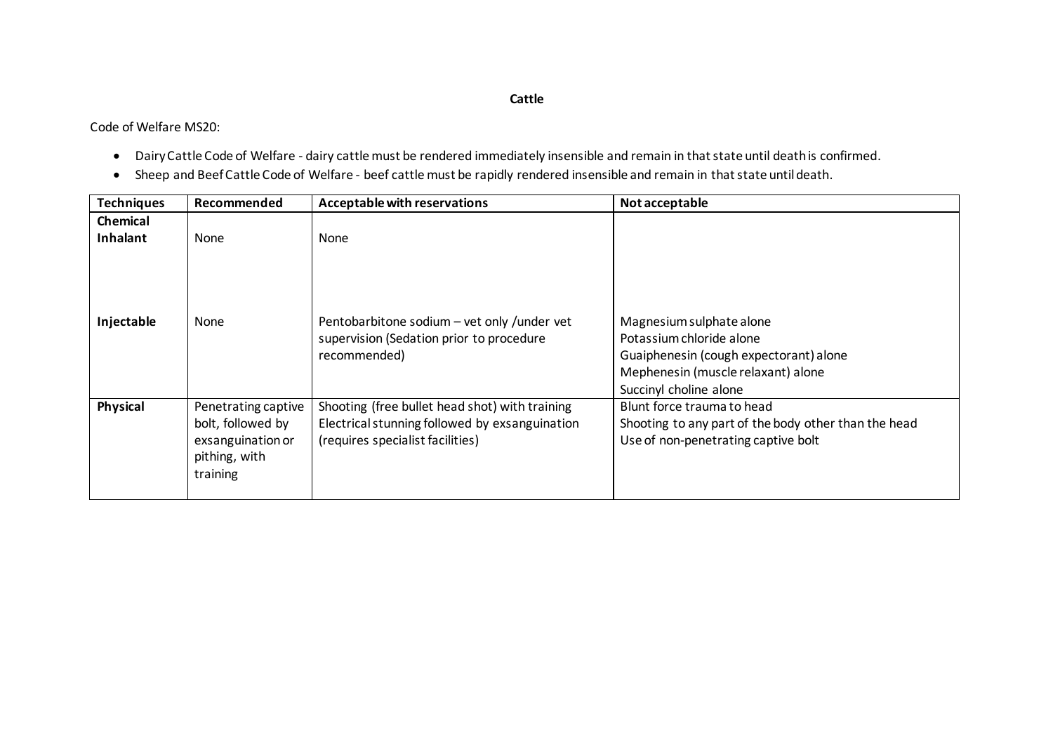### **Cattle**

Code of Welfare MS20:

- Dairy Cattle Code of Welfare dairy cattle must be rendered immediately insensible and remain in that state until death is confirmed.
- Sheep and Beef Cattle Code of Welfare beef cattle must be rapidly rendered insensible and remain in that state until death.

| <b>Techniques</b>           | Recommended                                                                                | Acceptable with reservations                                                                                                         | Not acceptable                                                                                                                                                 |
|-----------------------------|--------------------------------------------------------------------------------------------|--------------------------------------------------------------------------------------------------------------------------------------|----------------------------------------------------------------------------------------------------------------------------------------------------------------|
| <b>Chemical</b><br>Inhalant | None                                                                                       | <b>None</b>                                                                                                                          |                                                                                                                                                                |
| Injectable                  | None                                                                                       | Pentobarbitone sodium - vet only /under vet<br>supervision (Sedation prior to procedure<br>recommended)                              | Magnesium sulphate alone<br>Potassium chloride alone<br>Guaiphenesin (cough expectorant) alone<br>Mephenesin (muscle relaxant) alone<br>Succinyl choline alone |
| Physical                    | Penetrating captive<br>bolt, followed by<br>exsanguination or<br>pithing, with<br>training | Shooting (free bullet head shot) with training<br>Electrical stunning followed by exsanguination<br>(requires specialist facilities) | Blunt force trauma to head<br>Shooting to any part of the body other than the head<br>Use of non-penetrating captive bolt                                      |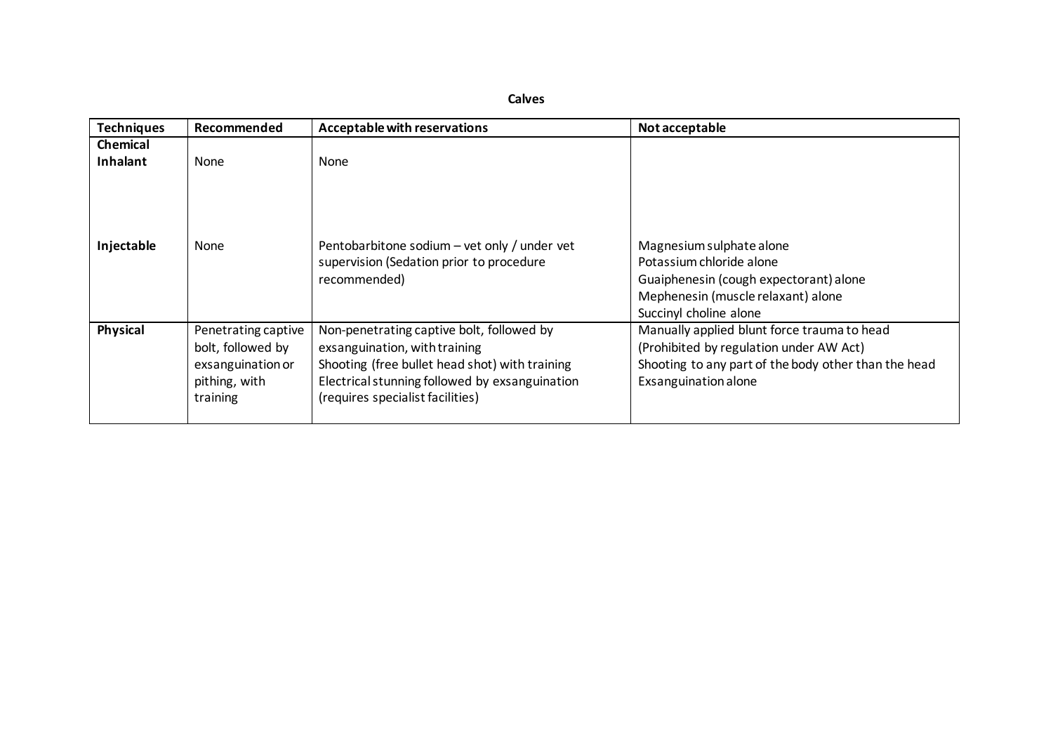**Calves**

| <b>Techniques</b>      | Recommended                                                                                | Acceptable with reservations                                                                                                                                                                                       | Not acceptable                                                                                                                                                         |
|------------------------|--------------------------------------------------------------------------------------------|--------------------------------------------------------------------------------------------------------------------------------------------------------------------------------------------------------------------|------------------------------------------------------------------------------------------------------------------------------------------------------------------------|
| <b>Chemical</b>        |                                                                                            |                                                                                                                                                                                                                    |                                                                                                                                                                        |
| Inhalant<br>Injectable | <b>None</b><br><b>None</b>                                                                 | None<br>Pentobarbitone sodium – vet only / under vet<br>supervision (Sedation prior to procedure<br>recommended)                                                                                                   | Magnesium sulphate alone<br>Potassium chloride alone<br>Guaiphenesin (cough expectorant) alone<br>Mephenesin (muscle relaxant) alone<br>Succinyl choline alone         |
| Physical               | Penetrating captive<br>bolt, followed by<br>exsanguination or<br>pithing, with<br>training | Non-penetrating captive bolt, followed by<br>exsanguination, with training<br>Shooting (free bullet head shot) with training<br>Electrical stunning followed by exsanguination<br>(requires specialist facilities) | Manually applied blunt force trauma to head<br>(Prohibited by regulation under AW Act)<br>Shooting to any part of the body other than the head<br>Exsanguination alone |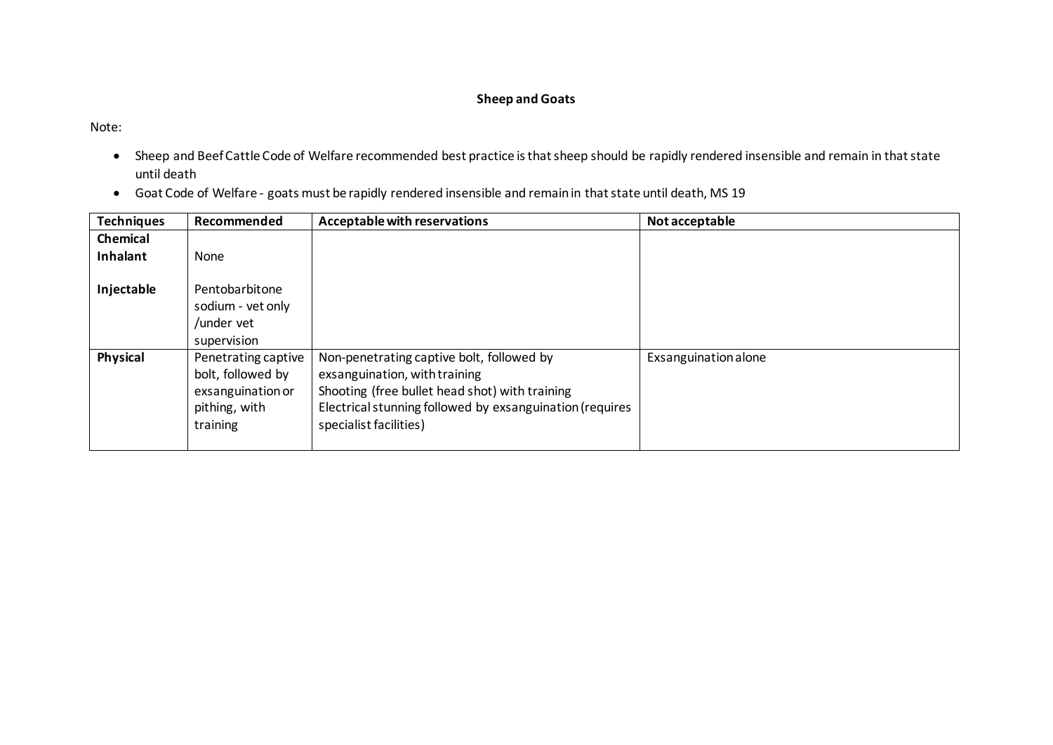# **Sheep and Goats**

Note:

- Sheep and Beef Cattle Code of Welfare recommended best practice is that sheep should be rapidly rendered insensible and remain in that state until death
- Goat Code of Welfare goats must be rapidly rendered insensible and remain in that state until death, MS 19

| <b>Techniques</b> | Recommended                                                                                | <b>Acceptable with reservations</b>                                                                                                                                                                                | Not acceptable       |
|-------------------|--------------------------------------------------------------------------------------------|--------------------------------------------------------------------------------------------------------------------------------------------------------------------------------------------------------------------|----------------------|
| <b>Chemical</b>   |                                                                                            |                                                                                                                                                                                                                    |                      |
| Inhalant          | None                                                                                       |                                                                                                                                                                                                                    |                      |
| Injectable        | Pentobarbitone<br>sodium - vet only<br>/under vet<br>supervision                           |                                                                                                                                                                                                                    |                      |
| Physical          | Penetrating captive<br>bolt, followed by<br>exsanguination or<br>pithing, with<br>training | Non-penetrating captive bolt, followed by<br>exsanguination, with training<br>Shooting (free bullet head shot) with training<br>Electrical stunning followed by exsanguination (requires<br>specialist facilities) | Exsanguination alone |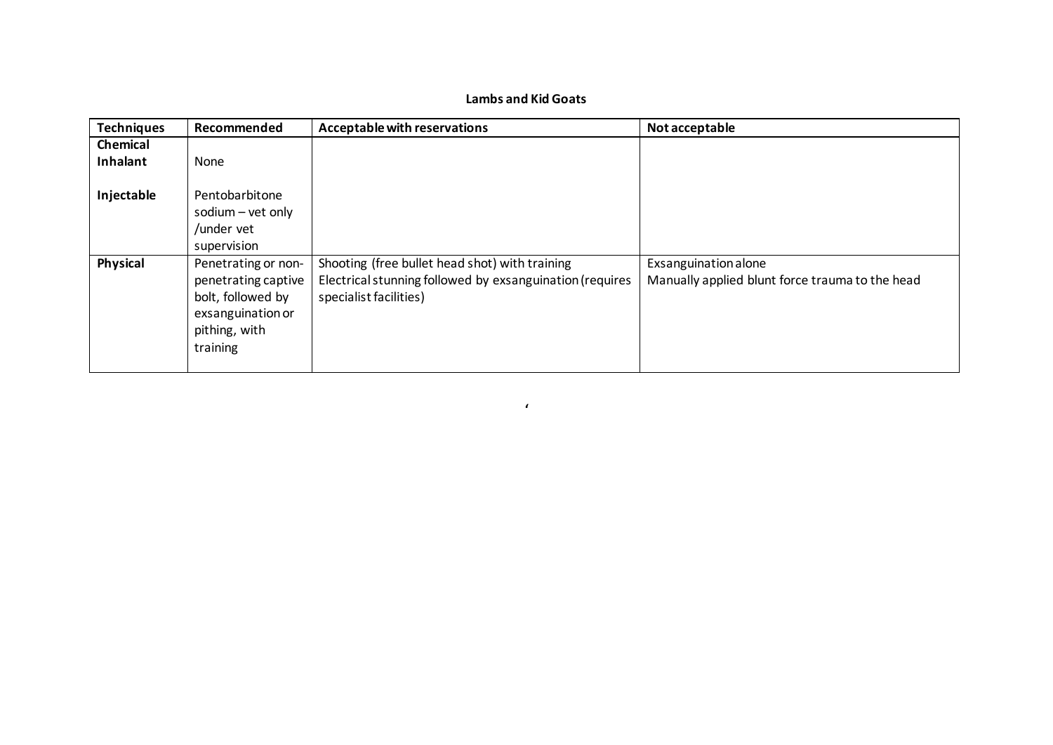# **Lambs and Kid Goats**

| <b>Techniques</b> | Recommended                                                                                                       | Acceptable with reservations                                                                                                         | Not acceptable                                                          |
|-------------------|-------------------------------------------------------------------------------------------------------------------|--------------------------------------------------------------------------------------------------------------------------------------|-------------------------------------------------------------------------|
| Chemical          |                                                                                                                   |                                                                                                                                      |                                                                         |
| Inhalant          | None                                                                                                              |                                                                                                                                      |                                                                         |
| Injectable        | Pentobarbitone<br>sodium - vet only<br>/under vet<br>supervision                                                  |                                                                                                                                      |                                                                         |
| Physical          | Penetrating or non-<br>penetrating captive<br>bolt, followed by<br>exsanguination or<br>pithing, with<br>training | Shooting (free bullet head shot) with training<br>Electrical stunning followed by exsanguination (requires<br>specialist facilities) | Exsanguination alone<br>Manually applied blunt force trauma to the head |

**'**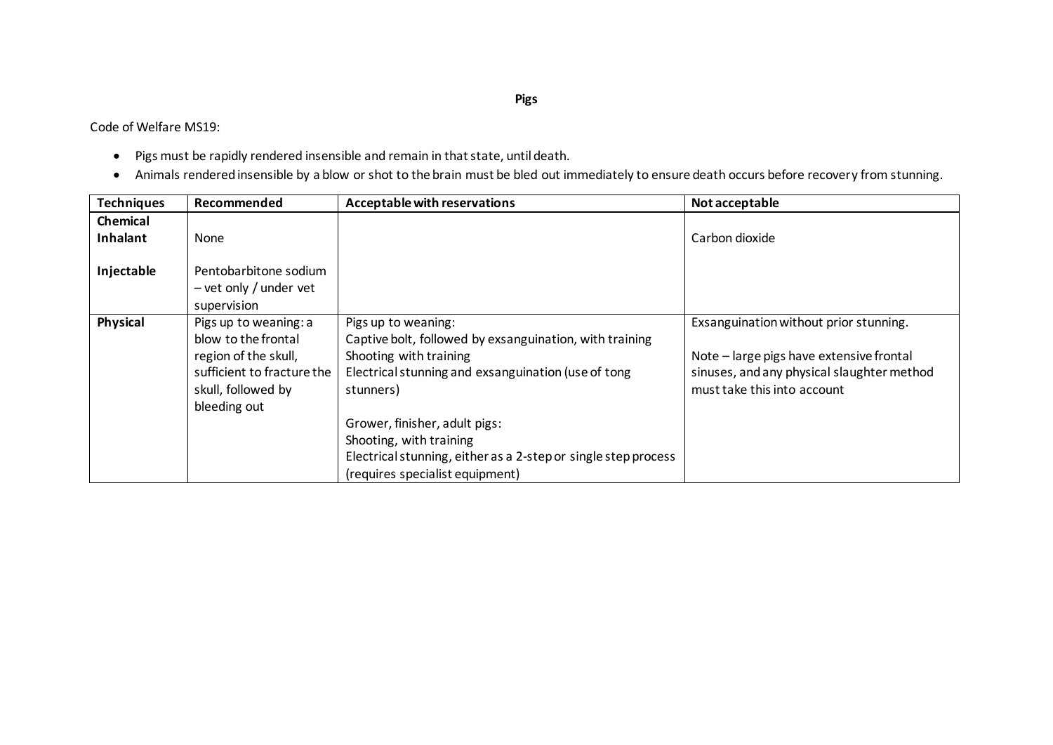Code of Welfare MS19:

- Pigs must be rapidly rendered insensible and remain in that state, until death.
- Animals rendered insensible by a blow or shot to the brain must be bled out immediately to ensure death occurs before recovery from stunning.

| <b>Techniques</b>           | Recommended                                                                                                                              | Acceptable with reservations                                                                                                                                                                                                                                                                                                                  | Not acceptable                                                                                                                                                  |
|-----------------------------|------------------------------------------------------------------------------------------------------------------------------------------|-----------------------------------------------------------------------------------------------------------------------------------------------------------------------------------------------------------------------------------------------------------------------------------------------------------------------------------------------|-----------------------------------------------------------------------------------------------------------------------------------------------------------------|
| <b>Chemical</b><br>Inhalant | <b>None</b>                                                                                                                              |                                                                                                                                                                                                                                                                                                                                               | Carbon dioxide                                                                                                                                                  |
| Injectable                  | Pentobarbitone sodium<br>$-$ vet only / under vet<br>supervision                                                                         |                                                                                                                                                                                                                                                                                                                                               |                                                                                                                                                                 |
| Physical                    | Pigs up to weaning: a<br>blow to the frontal<br>region of the skull,<br>sufficient to fracture the<br>skull, followed by<br>bleeding out | Pigs up to weaning:<br>Captive bolt, followed by exsanguination, with training<br>Shooting with training<br>Electrical stunning and exsanguination (use of tong<br>stunners)<br>Grower, finisher, adult pigs:<br>Shooting, with training<br>Electrical stunning, either as a 2-step or single step process<br>(requires specialist equipment) | Exsanguination without prior stunning.<br>Note - large pigs have extensive frontal<br>sinuses, and any physical slaughter method<br>must take this into account |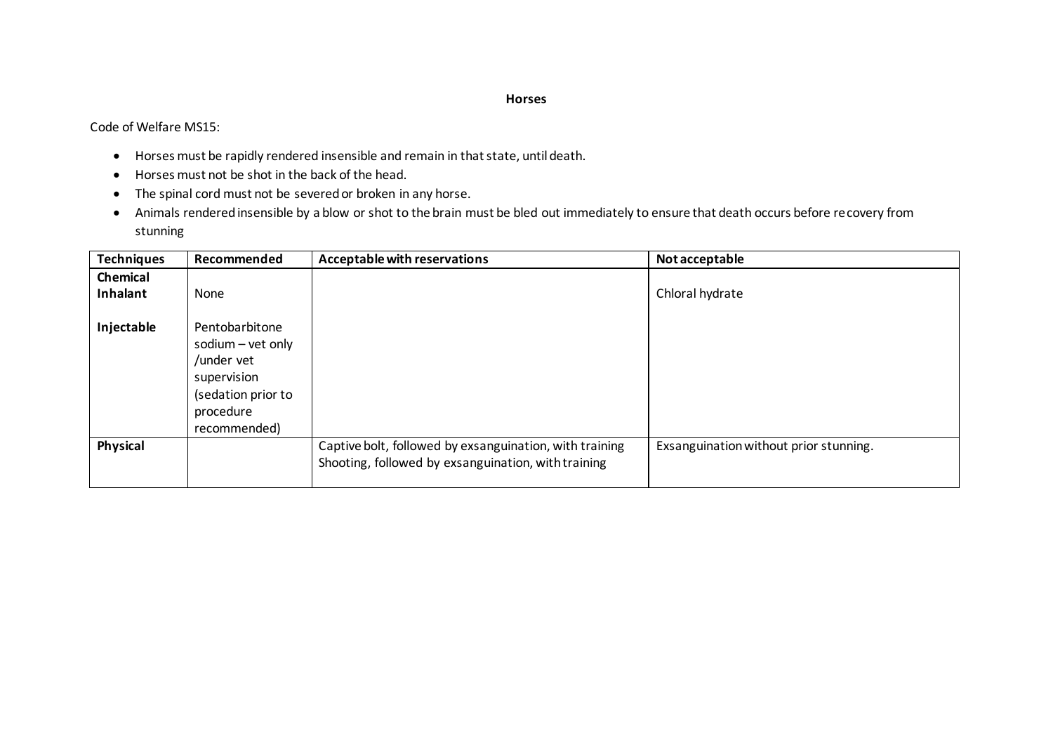#### **Horses**

Code of Welfare MS15:

- Horses must be rapidly rendered insensible and remain in that state, until death.
- Horses must not be shot in the back of the head.
- The spinal cord must not be severed or broken in any horse.
- Animals rendered insensible by a blow or shot to the brain must be bled out immediately to ensure that death occurs before recovery from stunning

| <b>Techniques</b>    | Recommended                                                                                                         | Acceptable with reservations                                                                                   | Not acceptable                         |
|----------------------|---------------------------------------------------------------------------------------------------------------------|----------------------------------------------------------------------------------------------------------------|----------------------------------------|
| Chemical<br>Inhalant | None                                                                                                                |                                                                                                                | Chloral hydrate                        |
| Injectable           | Pentobarbitone<br>sodium - vet only<br>/under vet<br>supervision<br>(sedation prior to<br>procedure<br>recommended) |                                                                                                                |                                        |
| Physical             |                                                                                                                     | Captive bolt, followed by exsanguination, with training<br>Shooting, followed by exsanguination, with training | Exsanguination without prior stunning. |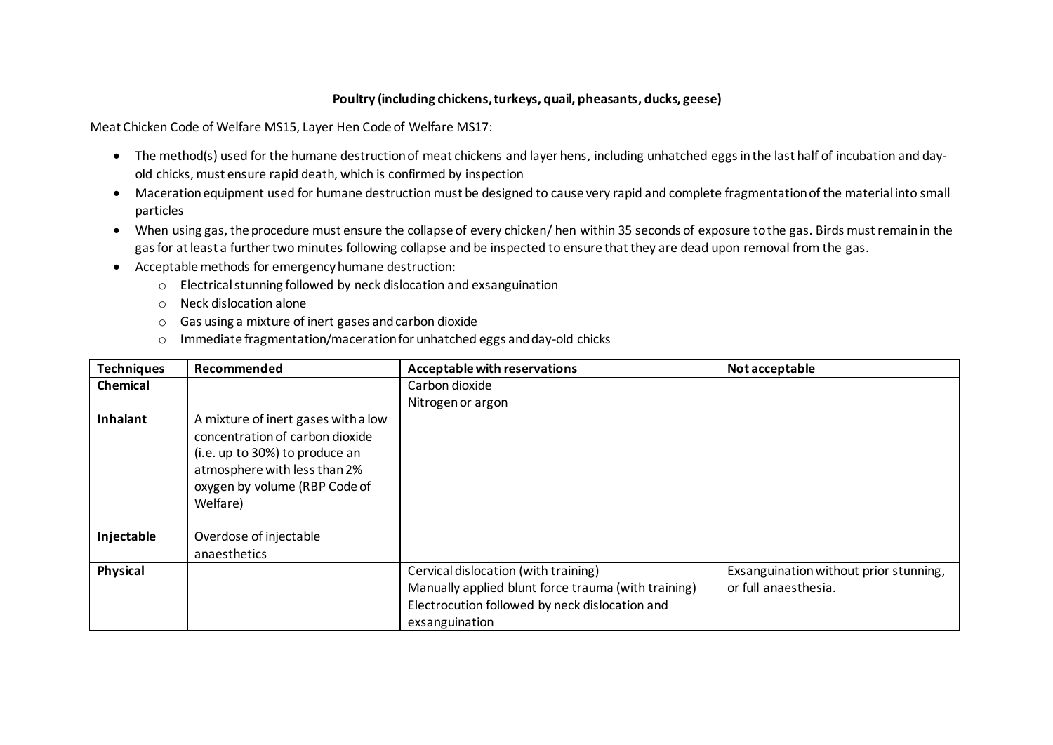#### **Poultry (including chickens, turkeys, quail, pheasants, ducks, geese)**

Meat Chicken Code of Welfare MS15, Layer Hen Code of Welfare MS17:

- The method(s) used for the humane destruction of meat chickens and layer hens, including unhatched eggs in the last half of incubation and dayold chicks, must ensure rapid death, which is confirmed by inspection
- Maceration equipment used for humane destruction must be designed to cause very rapid and complete fragmentation of the material into small particles
- When using gas, the procedure must ensure the collapse of every chicken/ hen within 35 seconds of exposure to the gas. Birds must remain in the gas for at least a further two minutes following collapse and be inspected to ensure that they are dead upon removal from the gas.
- Acceptable methods for emergency humane destruction:
	- o Electrical stunning followed by neck dislocation and exsanguination
	- o Neck dislocation alone
	- o Gas using a mixture of inert gases and carbon dioxide
	- o Immediate fragmentation/maceration for unhatched eggs and day-old chicks

| <b>Techniques</b> | Recommended                                                                                                                                                                           | Acceptable with reservations                                                                                                                                    | Not acceptable                                                 |
|-------------------|---------------------------------------------------------------------------------------------------------------------------------------------------------------------------------------|-----------------------------------------------------------------------------------------------------------------------------------------------------------------|----------------------------------------------------------------|
| Chemical          |                                                                                                                                                                                       | Carbon dioxide                                                                                                                                                  |                                                                |
|                   |                                                                                                                                                                                       | Nitrogen or argon                                                                                                                                               |                                                                |
| Inhalant          | A mixture of inert gases with a low<br>concentration of carbon dioxide<br>(i.e. up to 30%) to produce an<br>atmosphere with less than 2%<br>oxygen by volume (RBP Code of<br>Welfare) |                                                                                                                                                                 |                                                                |
| Injectable        | Overdose of injectable<br>anaesthetics                                                                                                                                                |                                                                                                                                                                 |                                                                |
| Physical          |                                                                                                                                                                                       | Cervical dislocation (with training)<br>Manually applied blunt force trauma (with training)<br>Electrocution followed by neck dislocation and<br>exsanguination | Exsanguination without prior stunning,<br>or full anaesthesia. |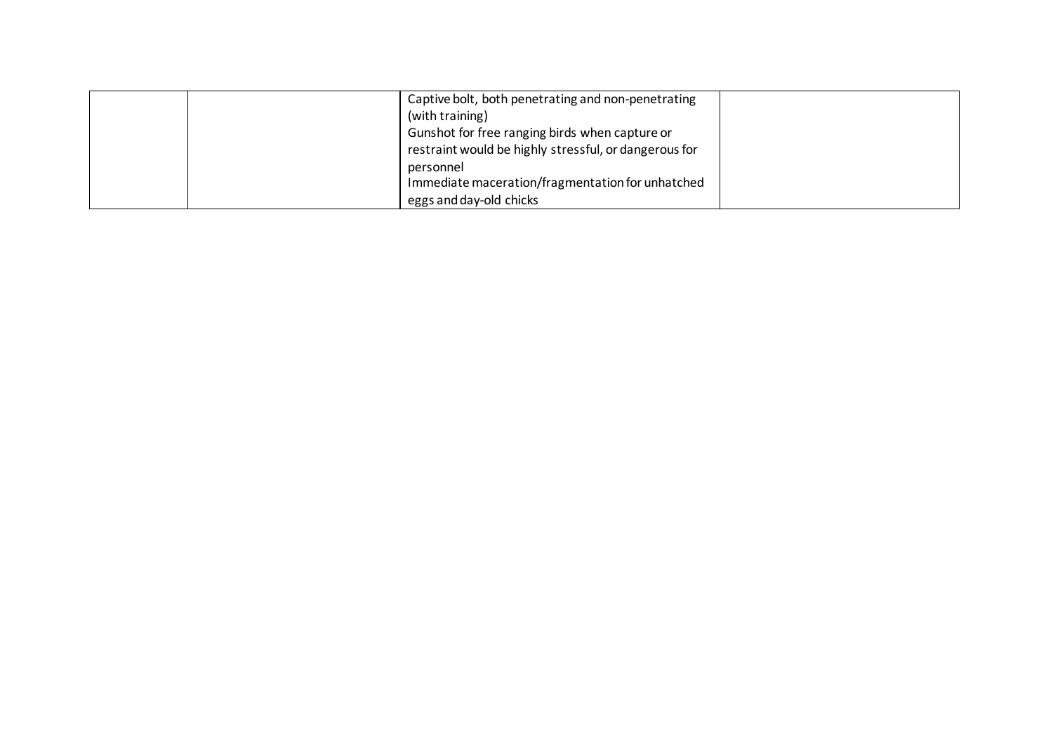|  | Captive bolt, both penetrating and non-penetrating    |  |
|--|-------------------------------------------------------|--|
|  | (with training)                                       |  |
|  | Gunshot for free ranging birds when capture or        |  |
|  | restraint would be highly stressful, or dangerous for |  |
|  | personnel                                             |  |
|  | Immediate maceration/fragmentation for unhatched      |  |
|  | eggs and day-old chicks                               |  |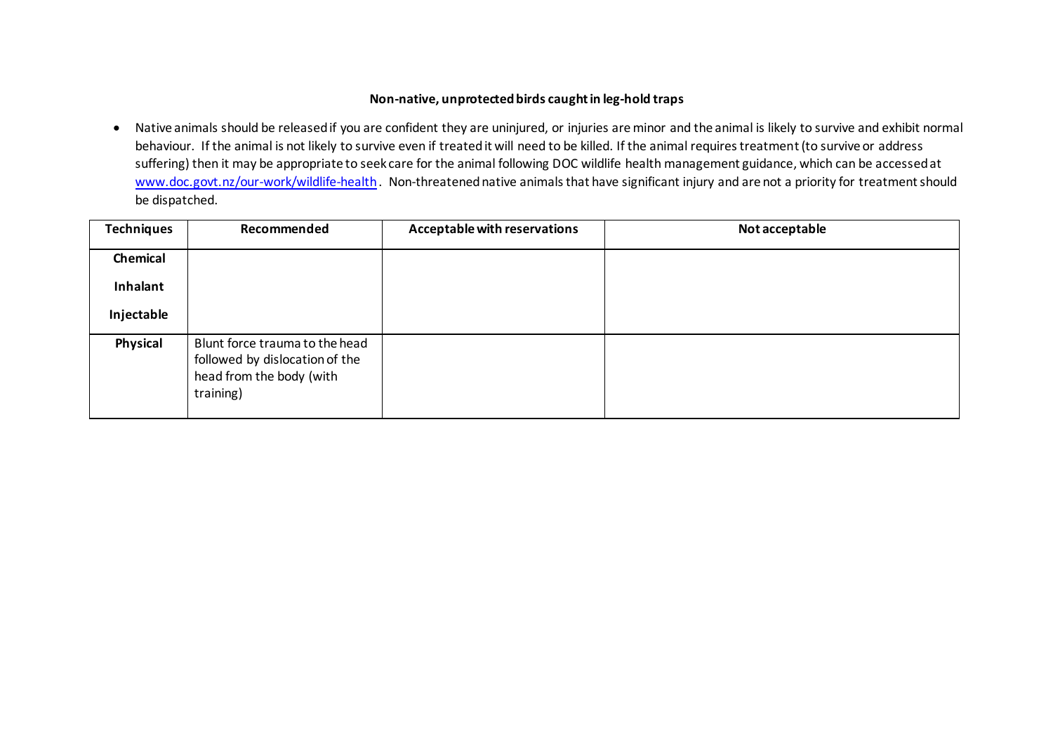#### **Non-native, unprotected birds caught in leg-hold traps**

• Native animals should be released if you are confident they are uninjured, or injuries are minor and the animal is likely to survive and exhibit normal behaviour. If the animal is not likely to survive even if treated it will need to be killed. If the animal requires treatment (to survive or address suffering) then it may be appropriate to seek care for the animal following DOC [wildlife health management guidance,](http://intranet/natural-heritage/terrestrial/wildlife-health-management/get-help-with-sick-injured-or-dead-wildlife/) which can be accessed at [www.doc.govt.nz/our-work/wildlife-health](http://www.doc.govt.nz/our-work/wildlife-health). Non-threatened native animals that have significant injury and are not a priority for treatment should be dispatched.

| <b>Techniques</b> | Recommended                                                                                               | Acceptable with reservations | Not acceptable |
|-------------------|-----------------------------------------------------------------------------------------------------------|------------------------------|----------------|
| Chemical          |                                                                                                           |                              |                |
| Inhalant          |                                                                                                           |                              |                |
| Injectable        |                                                                                                           |                              |                |
| Physical          | Blunt force trauma to the head<br>followed by dislocation of the<br>head from the body (with<br>training) |                              |                |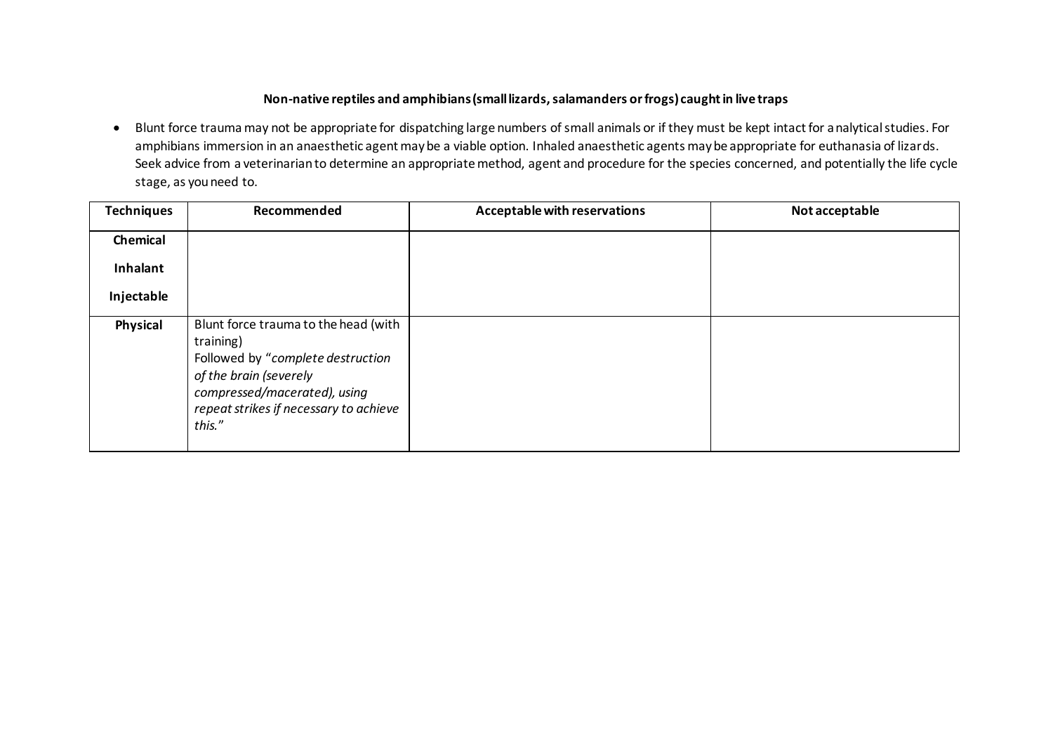### **Non-native reptiles and amphibians (small lizards, salamanders or frogs) caught in live traps**

• Blunt force trauma may not be appropriate for dispatching large numbers of small animals or if they must be kept intact for analytical studies. For amphibians immersion in an anaesthetic agent may be a viable option. Inhaled anaesthetic agents may be appropriate for euthanasia of lizards. Seek advice from a veterinarian to determine an appropriate method, agent and procedure for the species concerned, and potentially the life cycle stage, as you need to.

| <b>Techniques</b> | Recommended                                                                                                                                                                                          | Acceptable with reservations | Not acceptable |
|-------------------|------------------------------------------------------------------------------------------------------------------------------------------------------------------------------------------------------|------------------------------|----------------|
| Chemical          |                                                                                                                                                                                                      |                              |                |
| Inhalant          |                                                                                                                                                                                                      |                              |                |
| Injectable        |                                                                                                                                                                                                      |                              |                |
| Physical          | Blunt force trauma to the head (with<br>training)<br>Followed by "complete destruction<br>of the brain (severely<br>compressed/macerated), using<br>repeat strikes if necessary to achieve<br>this." |                              |                |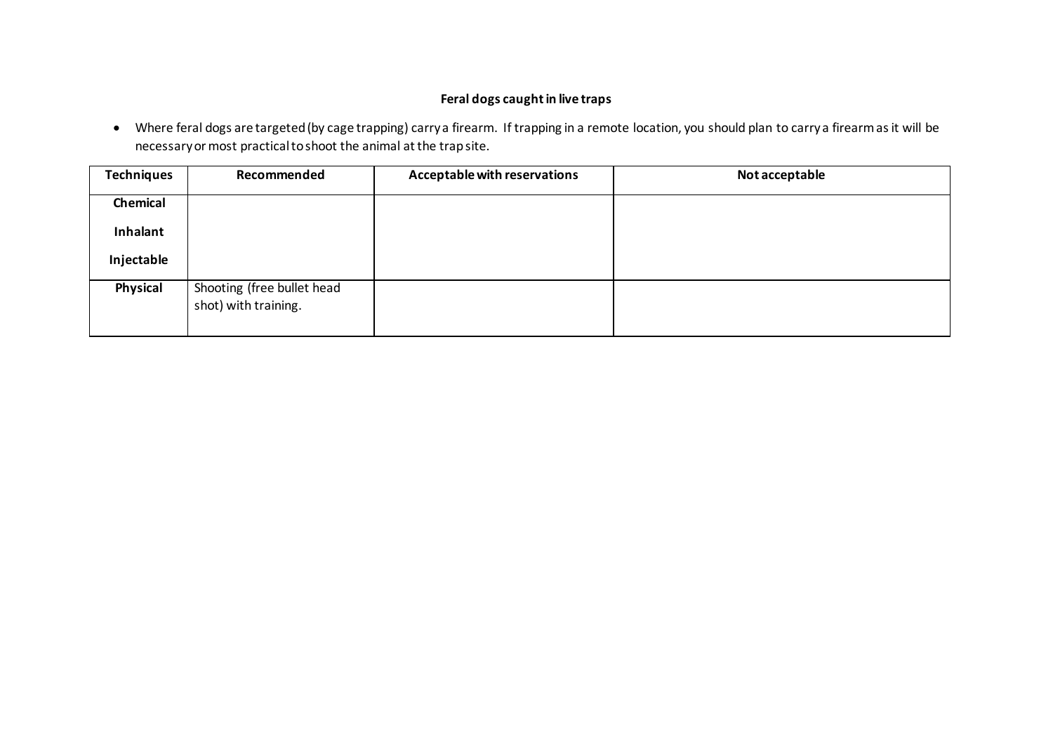# **Feral dogs caught in live traps**

• Where feral dogs are targeted (by cage trapping) carry a firearm. If trapping in a remote location, you should plan to carry a firearm as it will be necessary or most practical to shoot the animal at the trap site.

| <b>Techniques</b> | Recommended                                        | Acceptable with reservations | Not acceptable |
|-------------------|----------------------------------------------------|------------------------------|----------------|
| Chemical          |                                                    |                              |                |
| Inhalant          |                                                    |                              |                |
| Injectable        |                                                    |                              |                |
| Physical          | Shooting (free bullet head<br>shot) with training. |                              |                |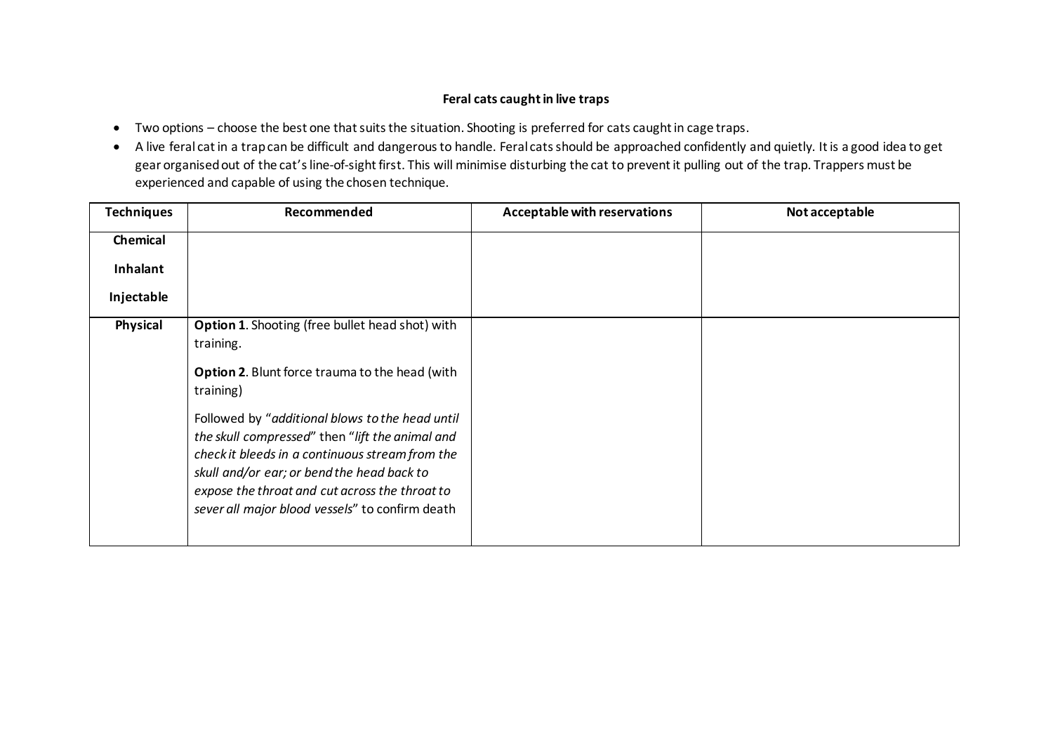### **Feral cats caught in live traps**

- Two options choose the best one that suits the situation. Shooting is preferred for cats caught in cage traps.
- A live feral cat in a trap can be difficult and dangerous to handle. Feral cats should be approached confidently and quietly. It is a good idea to get gear organised out of the cat's line-of-sight first. This will minimise disturbing the cat to prevent it pulling out of the trap. Trappers must be experienced and capable of using the chosen technique.

| <b>Techniques</b> | Recommended                                                                                                                                                                                                                                                                                                                                                                                                                                           | Acceptable with reservations | Not acceptable |
|-------------------|-------------------------------------------------------------------------------------------------------------------------------------------------------------------------------------------------------------------------------------------------------------------------------------------------------------------------------------------------------------------------------------------------------------------------------------------------------|------------------------------|----------------|
| Chemical          |                                                                                                                                                                                                                                                                                                                                                                                                                                                       |                              |                |
| Inhalant          |                                                                                                                                                                                                                                                                                                                                                                                                                                                       |                              |                |
| Injectable        |                                                                                                                                                                                                                                                                                                                                                                                                                                                       |                              |                |
| Physical          | <b>Option 1.</b> Shooting (free bullet head shot) with<br>training.<br><b>Option 2.</b> Blunt force trauma to the head (with<br>training)<br>Followed by "additional blows to the head until<br>the skull compressed" then "lift the animal and<br>check it bleeds in a continuous stream from the<br>skull and/or ear; or bend the head back to<br>expose the throat and cut across the throat to<br>sever all major blood vessels" to confirm death |                              |                |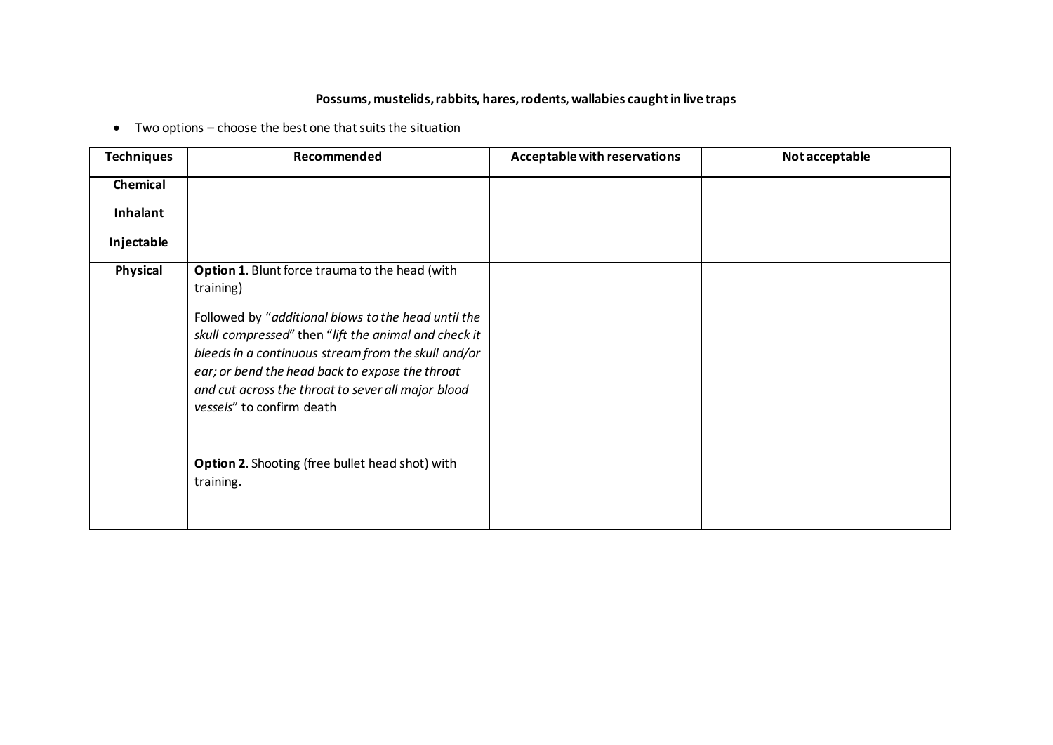# **Possums, mustelids, rabbits, hares, rodents, wallabies caught in live traps**

• Two options – choose the best one that suits the situation

| <b>Techniques</b> | Recommended                                                                                                                                                                                                                                                                                                                                                                     | Acceptable with reservations | Not acceptable |
|-------------------|---------------------------------------------------------------------------------------------------------------------------------------------------------------------------------------------------------------------------------------------------------------------------------------------------------------------------------------------------------------------------------|------------------------------|----------------|
| Chemical          |                                                                                                                                                                                                                                                                                                                                                                                 |                              |                |
| Inhalant          |                                                                                                                                                                                                                                                                                                                                                                                 |                              |                |
| Injectable        |                                                                                                                                                                                                                                                                                                                                                                                 |                              |                |
| Physical          | <b>Option 1. Blunt force trauma to the head (with</b><br>training)                                                                                                                                                                                                                                                                                                              |                              |                |
|                   | Followed by "additional blows to the head until the<br>skull compressed" then "lift the animal and check it<br>bleeds in a continuous stream from the skull and/or<br>ear; or bend the head back to expose the throat<br>and cut across the throat to sever all major blood<br>vessels" to confirm death<br><b>Option 2.</b> Shooting (free bullet head shot) with<br>training. |                              |                |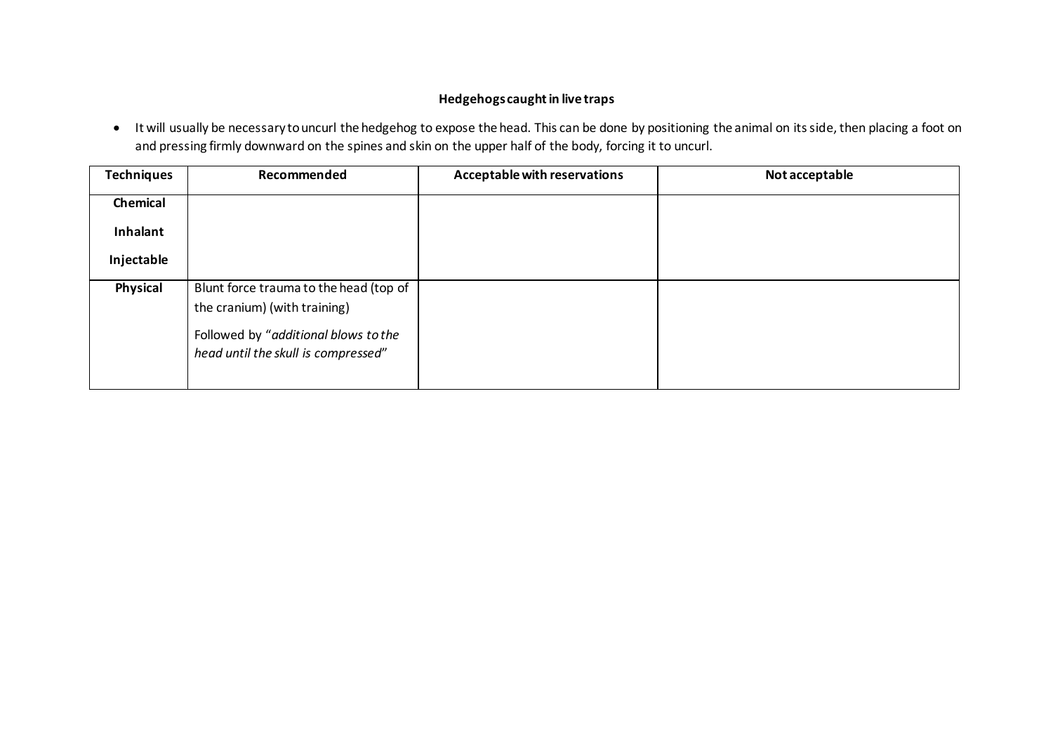# **Hedgehogs caught in live traps**

• It will usually be necessary to uncurl the hedgehog to expose the head. This can be done by positioning the animal on its side, then placing a foot on and pressing firmly downward on the spines and skin on the upper half of the body, forcing it to uncurl.

| <b>Techniques</b> | Recommended                            | Acceptable with reservations | Not acceptable |
|-------------------|----------------------------------------|------------------------------|----------------|
| Chemical          |                                        |                              |                |
| Inhalant          |                                        |                              |                |
| Injectable        |                                        |                              |                |
| Physical          | Blunt force trauma to the head (top of |                              |                |
|                   | the cranium) (with training)           |                              |                |
|                   | Followed by "additional blows to the   |                              |                |
|                   | head until the skull is compressed"    |                              |                |
|                   |                                        |                              |                |